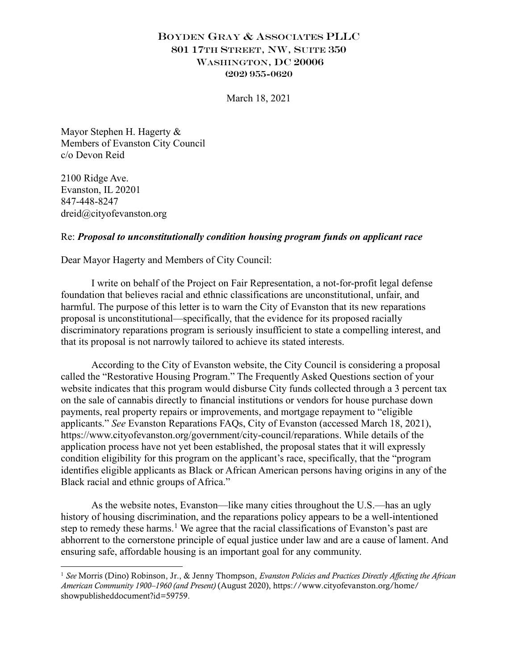## BOYDEN GRAY & ASSOCIATES PLLC 801 17TH STREET, NW, SUITE 350 WASHINGTON, DC 20006 (202) 955-0620

March 18, 2021

Mayor Stephen H. Hagerty & Members of Evanston City Council c/o Devon Reid

2100 Ridge Ave. Evanston, IL 20201 847-448-8247 dreid@cityofevanston.org

## Re: *Proposal to unconstitutionally condition housing program funds on applicant race*

Dear Mayor Hagerty and Members of City Council:

I write on behalf of the Project on Fair Representation, a not-for-profit legal defense foundation that believes racial and ethnic classifications are unconstitutional, unfair, and harmful. The purpose of this letter is to warn the City of Evanston that its new reparations proposal is unconstitutional—specifically, that the evidence for its proposed racially discriminatory reparations program is seriously insufficient to state a compelling interest, and that its proposal is not narrowly tailored to achieve its stated interests.

According to the City of Evanston website, the City Council is considering a proposal called the "Restorative Housing Program." The Frequently Asked Questions section of your website indicates that this program would disburse City funds collected through a 3 percent tax on the sale of cannabis directly to financial institutions or vendors for house purchase down payments, real property repairs or improvements, and mortgage repayment to "eligible applicants." *See* Evanston Reparations FAQs, City of Evanston (accessed March 18, 2021), https://www.cityofevanston.org/government/city-council/reparations. While details of the application process have not yet been established, the proposal states that it will expressly condition eligibility for this program on the applicant's race, specifically, that the "program identifies eligible applicants as Black or African American persons having origins in any of the Black racial and ethnic groups of Africa."

As the website notes, Evanston—like many cities throughout the U.S.—has an ugly history of housing discrimination, and the reparations policy appears to be a well-intentioned step to remedy these harms.<sup>1</sup> We agree that the racial classifications of Evanston's past are abhorrent to the cornerstone principle of equal justice under law and are a cause of lament. And ensuring safe, affordable housing is an important goal for any community.

<sup>1</sup> *See* Morris (Dino) Robinson, Jr., & Jenny Thompson, *Evanston Policies and Practices Directly Affecting the African American Community 1900–1960 (and Present)* (August 2020), https://www.cityofevanston.org/home/ showpublisheddocument?id=59759.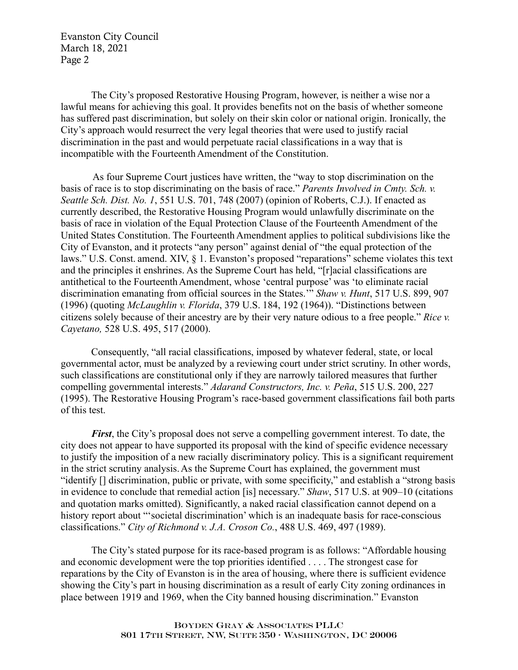Evanston City Council March 18, 2021 Page 2

The City's proposed Restorative Housing Program, however, is neither a wise nor a lawful means for achieving this goal. It provides benefits not on the basis of whether someone has suffered past discrimination, but solely on their skin color or national origin. Ironically, the City's approach would resurrect the very legal theories that were used to justify racial discrimination in the past and would perpetuate racial classifications in a way that is incompatible with the Fourteenth Amendment of the Constitution.

As four Supreme Court justices have written, the "way to stop discrimination on the basis of race is to stop discriminating on the basis of race." *Parents Involved in Cmty. Sch. v. Seattle Sch. Dist. No. 1*, 551 U.S. 701, 748 (2007) (opinion of Roberts, C.J.). If enacted as currently described, the Restorative Housing Program would unlawfully discriminate on the basis of race in violation of the Equal Protection Clause of the Fourteenth Amendment of the United States Constitution. The Fourteenth Amendment applies to political subdivisions like the City of Evanston, and it protects "any person" against denial of "the equal protection of the laws." U.S. Const. amend. XIV, § 1. Evanston's proposed "reparations" scheme violates this text and the principles it enshrines. As the Supreme Court has held, "[r]acial classifications are antithetical to the Fourteenth Amendment, whose 'central purpose' was 'to eliminate racial discrimination emanating from official sources in the States.'" *Shaw v. Hunt*, 517 U.S. 899, 907 (1996) (quoting *McLaughlin v. Florida*, 379 U.S. 184, 192 (1964)). "Distinctions between citizens solely because of their ancestry are by their very nature odious to a free people." *Rice v. Cayetano,* 528 U.S. 495, 517 (2000).

Consequently, "all racial classifications, imposed by whatever federal, state, or local governmental actor, must be analyzed by a reviewing court under strict scrutiny. In other words, such classifications are constitutional only if they are narrowly tailored measures that further compelling governmental interests." *Adarand Constructors, Inc. v. Peña*, 515 U.S. 200, 227 (1995). The Restorative Housing Program's race-based government classifications fail both parts of this test.

*First*, the City's proposal does not serve a compelling government interest. To date, the city does not appear to have supported its proposal with the kind of specific evidence necessary to justify the imposition of a new racially discriminatory policy. This is a significant requirement in the strict scrutiny analysis. As the Supreme Court has explained, the government must "identify [] discrimination, public or private, with some specificity," and establish a "strong basis in evidence to conclude that remedial action [is] necessary." *Shaw*, 517 U.S. at 909–10 (citations and quotation marks omitted). Significantly, a naked racial classification cannot depend on a history report about "'societal discrimination' which is an inadequate basis for race-conscious classifications." *City of Richmond v. J.A. Croson Co.*, 488 U.S. 469, 497 (1989).

The City's stated purpose for its race-based program is as follows: "Affordable housing and economic development were the top priorities identified . . . . The strongest case for reparations by the City of Evanston is in the area of housing, where there is sufficient evidence showing the City's part in housing discrimination as a result of early City zoning ordinances in place between 1919 and 1969, when the City banned housing discrimination." Evanston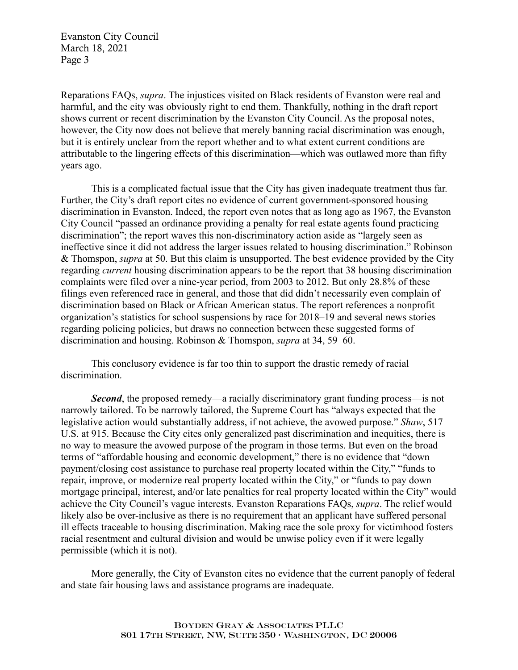Evanston City Council March 18, 2021 Page 3

Reparations FAQs, *supra*. The injustices visited on Black residents of Evanston were real and harmful, and the city was obviously right to end them. Thankfully, nothing in the draft report shows current or recent discrimination by the Evanston City Council. As the proposal notes, however, the City now does not believe that merely banning racial discrimination was enough, but it is entirely unclear from the report whether and to what extent current conditions are attributable to the lingering effects of this discrimination—which was outlawed more than fifty years ago.

This is a complicated factual issue that the City has given inadequate treatment thus far. Further, the City's draft report cites no evidence of current government-sponsored housing discrimination in Evanston. Indeed, the report even notes that as long ago as 1967, the Evanston City Council "passed an ordinance providing a penalty for real estate agents found practicing discrimination"; the report waves this non-discriminatory action aside as "largely seen as ineffective since it did not address the larger issues related to housing discrimination." Robinson & Thomspon, *supra* at 50. But this claim is unsupported. The best evidence provided by the City regarding *current* housing discrimination appears to be the report that 38 housing discrimination complaints were filed over a nine-year period, from 2003 to 2012. But only 28.8% of these filings even referenced race in general, and those that did didn't necessarily even complain of discrimination based on Black or African American status. The report references a nonprofit organization's statistics for school suspensions by race for 2018–19 and several news stories regarding policing policies, but draws no connection between these suggested forms of discrimination and housing. Robinson & Thomspon, *supra* at 34, 59–60.

This conclusory evidence is far too thin to support the drastic remedy of racial discrimination.

*Second*, the proposed remedy—a racially discriminatory grant funding process—is not narrowly tailored. To be narrowly tailored, the Supreme Court has "always expected that the legislative action would substantially address, if not achieve, the avowed purpose." *Shaw*, 517 U.S. at 915. Because the City cites only generalized past discrimination and inequities, there is no way to measure the avowed purpose of the program in those terms. But even on the broad terms of "affordable housing and economic development," there is no evidence that "down payment/closing cost assistance to purchase real property located within the City," "funds to repair, improve, or modernize real property located within the City," or "funds to pay down mortgage principal, interest, and/or late penalties for real property located within the City" would achieve the City Council's vague interests. Evanston Reparations FAQs, *supra*. The relief would likely also be over-inclusive as there is no requirement that an applicant have suffered personal ill effects traceable to housing discrimination. Making race the sole proxy for victimhood fosters racial resentment and cultural division and would be unwise policy even if it were legally permissible (which it is not).

More generally, the City of Evanston cites no evidence that the current panoply of federal and state fair housing laws and assistance programs are inadequate.